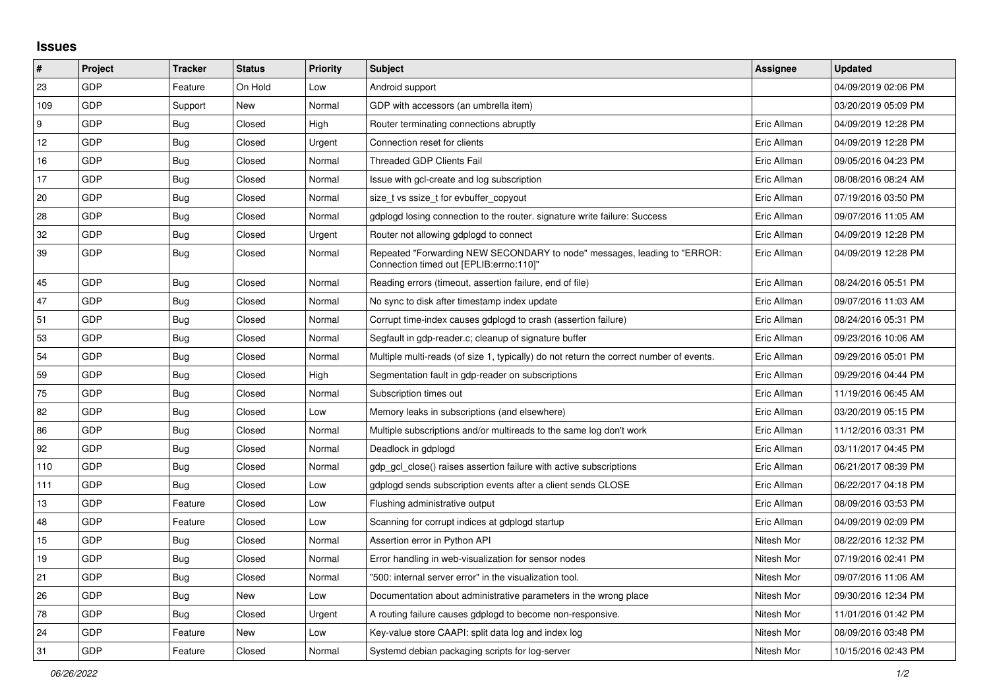## **Issues**

| $\pmb{\sharp}$ | Project    | <b>Tracker</b> | <b>Status</b> | <b>Priority</b> | <b>Subject</b>                                                                                                      | <b>Assignee</b> | <b>Updated</b>      |
|----------------|------------|----------------|---------------|-----------------|---------------------------------------------------------------------------------------------------------------------|-----------------|---------------------|
| 23             | GDP        | Feature        | On Hold       | Low             | Android support                                                                                                     |                 | 04/09/2019 02:06 PM |
| 109            | GDP        | Support        | <b>New</b>    | Normal          | GDP with accessors (an umbrella item)                                                                               |                 | 03/20/2019 05:09 PM |
| 9              | GDP        | Bug            | Closed        | High            | Router terminating connections abruptly                                                                             | Eric Allman     | 04/09/2019 12:28 PM |
| 12             | GDP        | Bug            | Closed        | Urgent          | Connection reset for clients                                                                                        | Eric Allman     | 04/09/2019 12:28 PM |
| 16             | <b>GDP</b> | Bug            | Closed        | Normal          | <b>Threaded GDP Clients Fail</b>                                                                                    | Eric Allman     | 09/05/2016 04:23 PM |
| 17             | GDP        | Bug            | Closed        | Normal          | Issue with gcl-create and log subscription                                                                          | Eric Allman     | 08/08/2016 08:24 AM |
| 20             | <b>GDP</b> | Bug            | Closed        | Normal          | size t vs ssize t for evbuffer copyout                                                                              | Eric Allman     | 07/19/2016 03:50 PM |
| 28             | GDP        | <b>Bug</b>     | Closed        | Normal          | gdplogd losing connection to the router. signature write failure: Success                                           | Eric Allman     | 09/07/2016 11:05 AM |
| 32             | GDP        | <b>Bug</b>     | Closed        | Urgent          | Router not allowing gdplogd to connect                                                                              | Eric Allman     | 04/09/2019 12:28 PM |
| 39             | GDP        | <b>Bug</b>     | Closed        | Normal          | Repeated "Forwarding NEW SECONDARY to node" messages, leading to "ERROR:<br>"Connection timed out [EPLIB:errno:110] | Eric Allman     | 04/09/2019 12:28 PM |
| 45             | GDP        | Bug            | Closed        | Normal          | Reading errors (timeout, assertion failure, end of file)                                                            | Eric Allman     | 08/24/2016 05:51 PM |
| 47             | GDP        | Bug            | Closed        | Normal          | No sync to disk after timestamp index update                                                                        | Eric Allman     | 09/07/2016 11:03 AM |
| 51             | GDP        | Bug            | Closed        | Normal          | Corrupt time-index causes gdplogd to crash (assertion failure)                                                      | Eric Allman     | 08/24/2016 05:31 PM |
| 53             | GDP        | Bug            | Closed        | Normal          | Segfault in gdp-reader.c; cleanup of signature buffer                                                               | Eric Allman     | 09/23/2016 10:06 AM |
| 54             | GDP        | Bug            | Closed        | Normal          | Multiple multi-reads (of size 1, typically) do not return the correct number of events.                             | Eric Allman     | 09/29/2016 05:01 PM |
| 59             | <b>GDP</b> | Bug            | Closed        | High            | Segmentation fault in gdp-reader on subscriptions                                                                   | Eric Allman     | 09/29/2016 04:44 PM |
| 75             | <b>GDP</b> | <b>Bug</b>     | Closed        | Normal          | Subscription times out                                                                                              | Eric Allman     | 11/19/2016 06:45 AM |
| 82             | GDP        | <b>Bug</b>     | Closed        | Low             | Memory leaks in subscriptions (and elsewhere)                                                                       | Eric Allman     | 03/20/2019 05:15 PM |
| 86             | <b>GDP</b> | <b>Bug</b>     | Closed        | Normal          | Multiple subscriptions and/or multireads to the same log don't work                                                 | Eric Allman     | 11/12/2016 03:31 PM |
| 92             | GDP        | <b>Bug</b>     | Closed        | Normal          | Deadlock in gdplogd                                                                                                 | Eric Allman     | 03/11/2017 04:45 PM |
| 110            | GDP        | <b>Bug</b>     | Closed        | Normal          | gdp_gcl_close() raises assertion failure with active subscriptions                                                  | Eric Allman     | 06/21/2017 08:39 PM |
| 111            | GDP        | Bug            | Closed        | Low             | gdplogd sends subscription events after a client sends CLOSE                                                        | Eric Allman     | 06/22/2017 04:18 PM |
| 13             | GDP        | Feature        | Closed        | Low             | Flushing administrative output                                                                                      | Eric Allman     | 08/09/2016 03:53 PM |
| 48             | GDP        | Feature        | Closed        | Low             | Scanning for corrupt indices at gdplogd startup                                                                     | Eric Allman     | 04/09/2019 02:09 PM |
| 15             | GDP        | Bug            | Closed        | Normal          | Assertion error in Python API                                                                                       | Nitesh Mor      | 08/22/2016 12:32 PM |
| 19             | <b>GDP</b> | Bug            | Closed        | Normal          | Error handling in web-visualization for sensor nodes                                                                | Nitesh Mor      | 07/19/2016 02:41 PM |
| 21             | GDP        | Bug            | Closed        | Normal          | "500: internal server error" in the visualization tool.                                                             | Nitesh Mor      | 09/07/2016 11:06 AM |
| 26             | GDP        | Bug            | New           | Low             | Documentation about administrative parameters in the wrong place                                                    | Nitesh Mor      | 09/30/2016 12:34 PM |
| 78             | <b>GDP</b> | Bug            | Closed        | Urgent          | A routing failure causes gdplogd to become non-responsive.                                                          | Nitesh Mor      | 11/01/2016 01:42 PM |
| 24             | GDP        | Feature        | New           | Low             | Key-value store CAAPI: split data log and index log                                                                 | Nitesh Mor      | 08/09/2016 03:48 PM |
| 31             | GDP        | Feature        | Closed        | Normal          | Systemd debian packaging scripts for log-server                                                                     | Nitesh Mor      | 10/15/2016 02:43 PM |